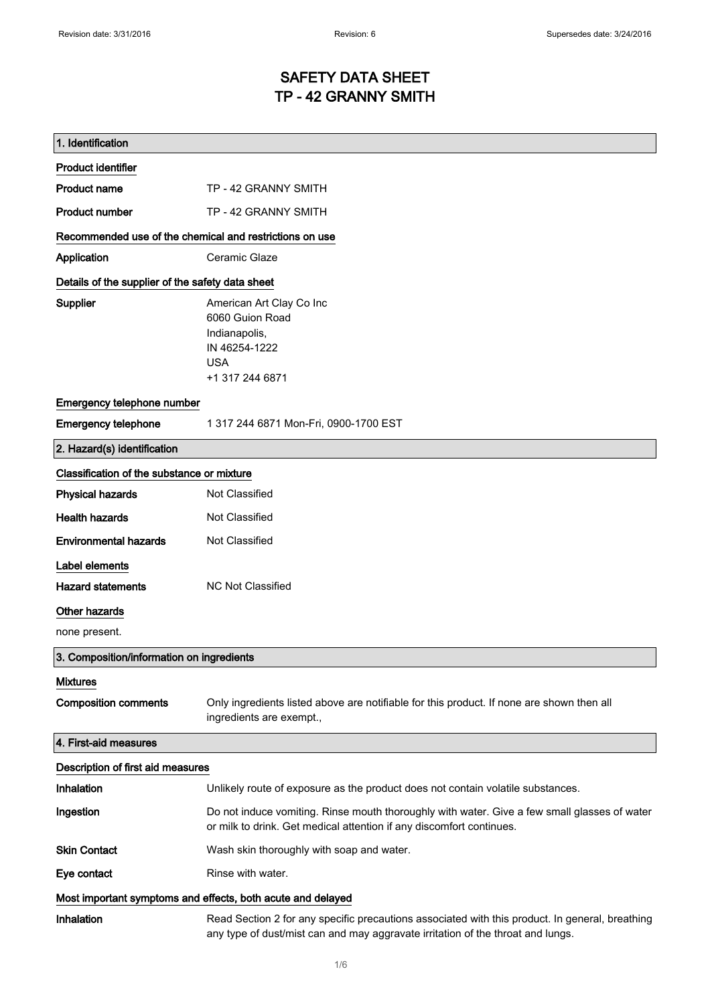# SAFETY DATA SHEET TP - 42 GRANNY SMITH

| 1. Identification                                           |                                                                                                                                                                                    |
|-------------------------------------------------------------|------------------------------------------------------------------------------------------------------------------------------------------------------------------------------------|
| <b>Product identifier</b>                                   |                                                                                                                                                                                    |
| <b>Product name</b>                                         | TP - 42 GRANNY SMITH                                                                                                                                                               |
| <b>Product number</b>                                       | TP - 42 GRANNY SMITH                                                                                                                                                               |
| Recommended use of the chemical and restrictions on use     |                                                                                                                                                                                    |
| Application                                                 | Ceramic Glaze                                                                                                                                                                      |
| Details of the supplier of the safety data sheet            |                                                                                                                                                                                    |
| Supplier                                                    | American Art Clay Co Inc<br>6060 Guion Road<br>Indianapolis,<br>IN 46254-1222<br><b>USA</b><br>+1 317 244 6871                                                                     |
| Emergency telephone number                                  |                                                                                                                                                                                    |
| <b>Emergency telephone</b>                                  | 1 317 244 6871 Mon-Fri, 0900-1700 EST                                                                                                                                              |
| 2. Hazard(s) identification                                 |                                                                                                                                                                                    |
| Classification of the substance or mixture                  |                                                                                                                                                                                    |
| <b>Physical hazards</b>                                     | Not Classified                                                                                                                                                                     |
| <b>Health hazards</b>                                       | Not Classified                                                                                                                                                                     |
| <b>Environmental hazards</b>                                | Not Classified                                                                                                                                                                     |
| Label elements                                              |                                                                                                                                                                                    |
| <b>Hazard statements</b>                                    | <b>NC Not Classified</b>                                                                                                                                                           |
| Other hazards                                               |                                                                                                                                                                                    |
| none present.                                               |                                                                                                                                                                                    |
| 3. Composition/information on ingredients                   |                                                                                                                                                                                    |
| <b>Mixtures</b>                                             |                                                                                                                                                                                    |
| <b>Composition comments</b>                                 | Only ingredients listed above are notifiable for this product. If none are shown then all<br>ingredients are exempt.,                                                              |
| 4. First-aid measures                                       |                                                                                                                                                                                    |
| Description of first aid measures                           |                                                                                                                                                                                    |
| Inhalation                                                  | Unlikely route of exposure as the product does not contain volatile substances.                                                                                                    |
| Ingestion                                                   | Do not induce vomiting. Rinse mouth thoroughly with water. Give a few small glasses of water<br>or milk to drink. Get medical attention if any discomfort continues.               |
| <b>Skin Contact</b>                                         | Wash skin thoroughly with soap and water.                                                                                                                                          |
| Eye contact                                                 | Rinse with water.                                                                                                                                                                  |
| Most important symptoms and effects, both acute and delayed |                                                                                                                                                                                    |
| Inhalation                                                  | Read Section 2 for any specific precautions associated with this product. In general, breathing<br>any type of dust/mist can and may aggravate irritation of the throat and lungs. |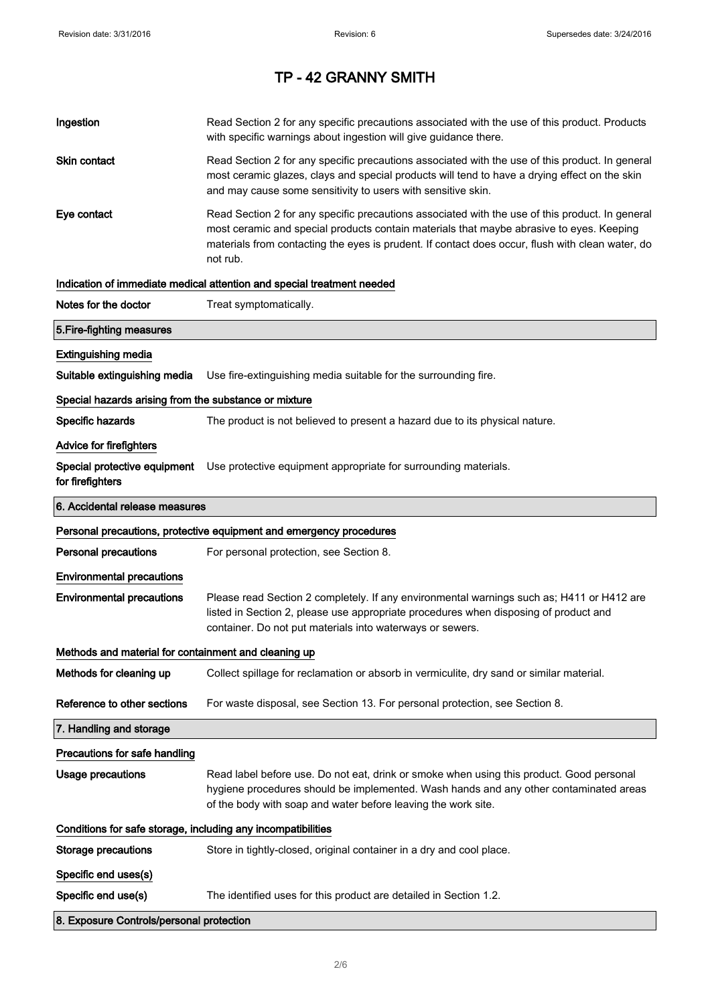| Ingestion                                                    | Read Section 2 for any specific precautions associated with the use of this product. Products<br>with specific warnings about ingestion will give guidance there.                                                                                                                                           |  |
|--------------------------------------------------------------|-------------------------------------------------------------------------------------------------------------------------------------------------------------------------------------------------------------------------------------------------------------------------------------------------------------|--|
| Skin contact                                                 | Read Section 2 for any specific precautions associated with the use of this product. In general<br>most ceramic glazes, clays and special products will tend to have a drying effect on the skin<br>and may cause some sensitivity to users with sensitive skin.                                            |  |
| Eye contact                                                  | Read Section 2 for any specific precautions associated with the use of this product. In general<br>most ceramic and special products contain materials that maybe abrasive to eyes. Keeping<br>materials from contacting the eyes is prudent. If contact does occur, flush with clean water, do<br>not rub. |  |
|                                                              | Indication of immediate medical attention and special treatment needed                                                                                                                                                                                                                                      |  |
| Notes for the doctor                                         | Treat symptomatically.                                                                                                                                                                                                                                                                                      |  |
| 5. Fire-fighting measures                                    |                                                                                                                                                                                                                                                                                                             |  |
| <b>Extinguishing media</b>                                   |                                                                                                                                                                                                                                                                                                             |  |
| Suitable extinguishing media                                 | Use fire-extinguishing media suitable for the surrounding fire.                                                                                                                                                                                                                                             |  |
| Special hazards arising from the substance or mixture        |                                                                                                                                                                                                                                                                                                             |  |
| Specific hazards                                             | The product is not believed to present a hazard due to its physical nature.                                                                                                                                                                                                                                 |  |
| <b>Advice for firefighters</b>                               |                                                                                                                                                                                                                                                                                                             |  |
| Special protective equipment<br>for firefighters             | Use protective equipment appropriate for surrounding materials.                                                                                                                                                                                                                                             |  |
| 6. Accidental release measures                               |                                                                                                                                                                                                                                                                                                             |  |
|                                                              | Personal precautions, protective equipment and emergency procedures                                                                                                                                                                                                                                         |  |
|                                                              |                                                                                                                                                                                                                                                                                                             |  |
| <b>Personal precautions</b>                                  | For personal protection, see Section 8.                                                                                                                                                                                                                                                                     |  |
| <b>Environmental precautions</b>                             |                                                                                                                                                                                                                                                                                                             |  |
| <b>Environmental precautions</b>                             | Please read Section 2 completely. If any environmental warnings such as; H411 or H412 are<br>listed in Section 2, please use appropriate procedures when disposing of product and<br>container. Do not put materials into waterways or sewers.                                                              |  |
| Methods and material for containment and cleaning up         |                                                                                                                                                                                                                                                                                                             |  |
| Methods for cleaning up                                      | Collect spillage for reclamation or absorb in vermiculite, dry sand or similar material.                                                                                                                                                                                                                    |  |
| Reference to other sections                                  | For waste disposal, see Section 13. For personal protection, see Section 8.                                                                                                                                                                                                                                 |  |
| 7. Handling and storage                                      |                                                                                                                                                                                                                                                                                                             |  |
| Precautions for safe handling                                |                                                                                                                                                                                                                                                                                                             |  |
| <b>Usage precautions</b>                                     | Read label before use. Do not eat, drink or smoke when using this product. Good personal<br>hygiene procedures should be implemented. Wash hands and any other contaminated areas<br>of the body with soap and water before leaving the work site.                                                          |  |
| Conditions for safe storage, including any incompatibilities |                                                                                                                                                                                                                                                                                                             |  |
| <b>Storage precautions</b>                                   | Store in tightly-closed, original container in a dry and cool place.                                                                                                                                                                                                                                        |  |
| Specific end uses(s)                                         |                                                                                                                                                                                                                                                                                                             |  |
| Specific end use(s)                                          | The identified uses for this product are detailed in Section 1.2.                                                                                                                                                                                                                                           |  |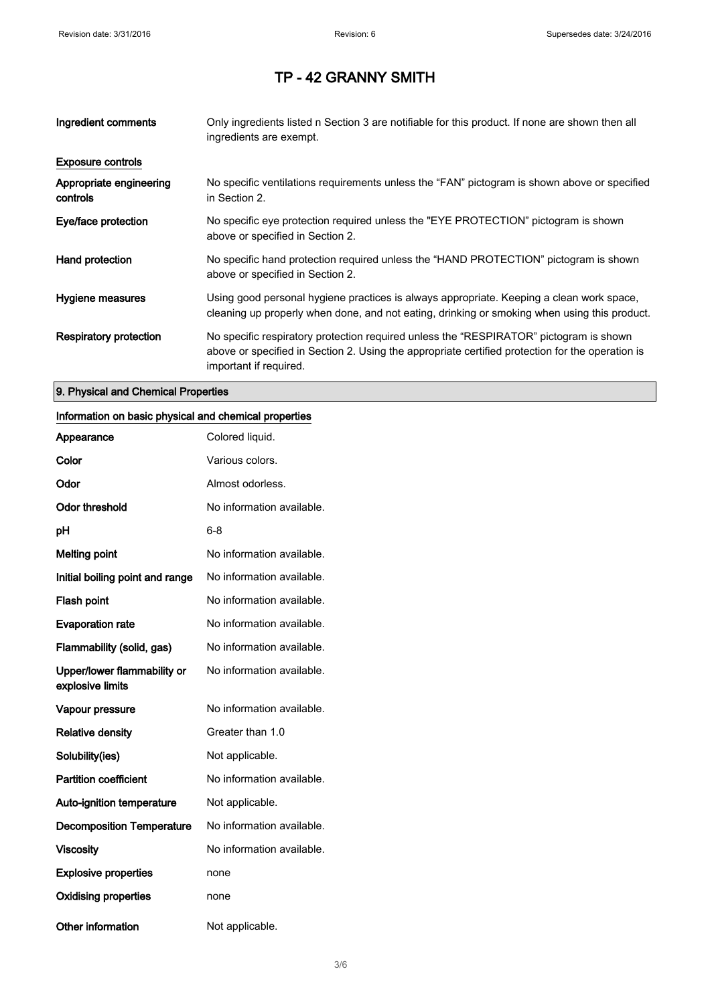| Ingredient comments                 | Only ingredients listed n Section 3 are notifiable for this product. If none are shown then all<br>ingredients are exempt.                                                                                           |
|-------------------------------------|----------------------------------------------------------------------------------------------------------------------------------------------------------------------------------------------------------------------|
| <b>Exposure controls</b>            |                                                                                                                                                                                                                      |
| Appropriate engineering<br>controls | No specific ventilations requirements unless the "FAN" pictogram is shown above or specified<br>in Section 2.                                                                                                        |
| Eye/face protection                 | No specific eye protection required unless the "EYE PROTECTION" pictogram is shown<br>above or specified in Section 2.                                                                                               |
| Hand protection                     | No specific hand protection required unless the "HAND PROTECTION" pictogram is shown<br>above or specified in Section 2.                                                                                             |
| Hygiene measures                    | Using good personal hygiene practices is always appropriate. Keeping a clean work space,<br>cleaning up properly when done, and not eating, drinking or smoking when using this product.                             |
| Respiratory protection              | No specific respiratory protection required unless the "RESPIRATOR" pictogram is shown<br>above or specified in Section 2. Using the appropriate certified protection for the operation is<br>important if required. |

### 9. Physical and Chemical Properties

#### Information on basic physical and chemical properties

| Appearance                                      | Colored liquid.           |
|-------------------------------------------------|---------------------------|
| Color                                           | Various colors.           |
| Odor                                            | Almost odorless.          |
| <b>Odor threshold</b>                           | No information available. |
| рH                                              | 6-8                       |
| <b>Melting point</b>                            | No information available. |
| Initial boiling point and range                 | No information available. |
| Flash point                                     | No information available. |
| <b>Evaporation rate</b>                         | No information available. |
| Flammability (solid, gas)                       | No information available. |
| Upper/lower flammability or<br>explosive limits | No information available. |
| Vapour pressure                                 | No information available. |
| <b>Relative density</b>                         | Greater than 1.0          |
| Solubility(ies)                                 | Not applicable.           |
| <b>Partition coefficient</b>                    | No information available. |
| <b>Auto-ignition temperature</b>                | Not applicable.           |
| <b>Decomposition Temperature</b>                | No information available. |
| <b>Viscosity</b>                                | No information available. |
| <b>Explosive properties</b>                     | none                      |
| <b>Oxidising properties</b>                     | none                      |
| <b>Other information</b>                        | Not applicable.           |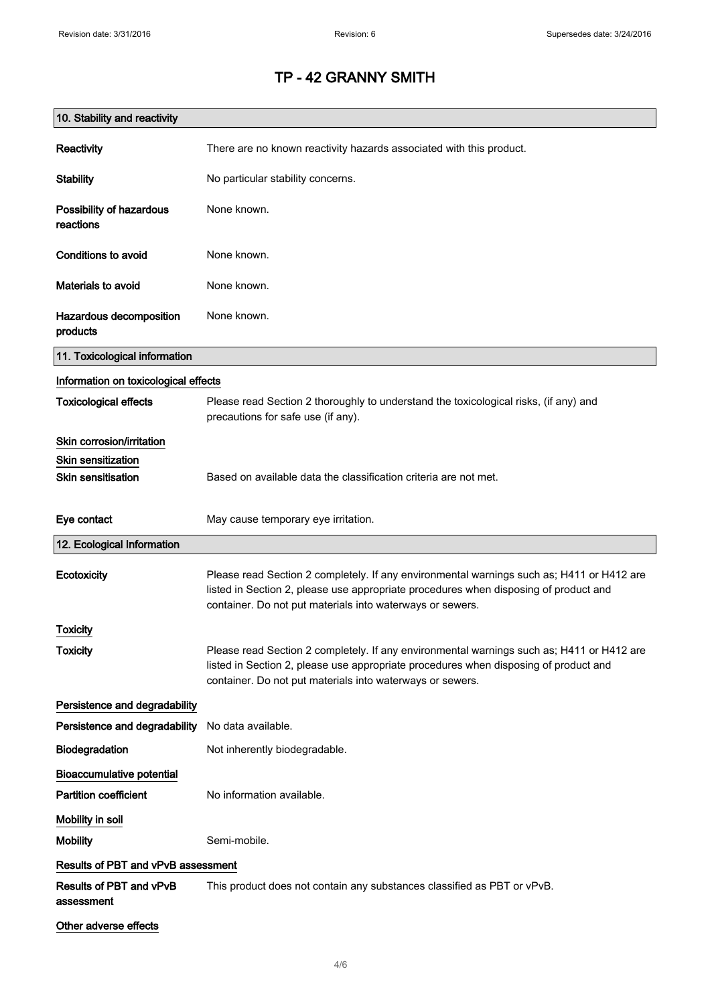| 10. Stability and reactivity          |                                                                                                                                                                                                                                                |
|---------------------------------------|------------------------------------------------------------------------------------------------------------------------------------------------------------------------------------------------------------------------------------------------|
| Reactivity                            | There are no known reactivity hazards associated with this product.                                                                                                                                                                            |
| <b>Stability</b>                      | No particular stability concerns.                                                                                                                                                                                                              |
| Possibility of hazardous<br>reactions | None known.                                                                                                                                                                                                                                    |
| <b>Conditions to avoid</b>            | None known.                                                                                                                                                                                                                                    |
| Materials to avoid                    | None known.                                                                                                                                                                                                                                    |
| Hazardous decomposition<br>products   | None known.                                                                                                                                                                                                                                    |
| 11. Toxicological information         |                                                                                                                                                                                                                                                |
| Information on toxicological effects  |                                                                                                                                                                                                                                                |
| <b>Toxicological effects</b>          | Please read Section 2 thoroughly to understand the toxicological risks, (if any) and<br>precautions for safe use (if any).                                                                                                                     |
| Skin corrosion/irritation             |                                                                                                                                                                                                                                                |
| <b>Skin sensitization</b>             |                                                                                                                                                                                                                                                |
| <b>Skin sensitisation</b>             | Based on available data the classification criteria are not met.                                                                                                                                                                               |
| Eye contact                           | May cause temporary eye irritation.                                                                                                                                                                                                            |
| 12. Ecological Information            |                                                                                                                                                                                                                                                |
| Ecotoxicity                           | Please read Section 2 completely. If any environmental warnings such as; H411 or H412 are<br>listed in Section 2, please use appropriate procedures when disposing of product and<br>container. Do not put materials into waterways or sewers. |
| <b>Toxicity</b>                       |                                                                                                                                                                                                                                                |
| <b>Toxicity</b>                       | Please read Section 2 completely. If any environmental warnings such as; H411 or H412 are<br>listed in Section 2, please use appropriate procedures when disposing of product and<br>container. Do not put materials into waterways or sewers. |
| Persistence and degradability         |                                                                                                                                                                                                                                                |
| Persistence and degradability         | No data available.                                                                                                                                                                                                                             |
| Biodegradation                        | Not inherently biodegradable.                                                                                                                                                                                                                  |
| <b>Bioaccumulative potential</b>      |                                                                                                                                                                                                                                                |
| <b>Partition coefficient</b>          | No information available.                                                                                                                                                                                                                      |
| Mobility in soil                      |                                                                                                                                                                                                                                                |
| <b>Mobility</b>                       | Semi-mobile.                                                                                                                                                                                                                                   |
| Results of PBT and vPvB assessment    |                                                                                                                                                                                                                                                |
| Results of PBT and vPvB<br>assessment | This product does not contain any substances classified as PBT or vPvB.                                                                                                                                                                        |
| Other adverse effects                 |                                                                                                                                                                                                                                                |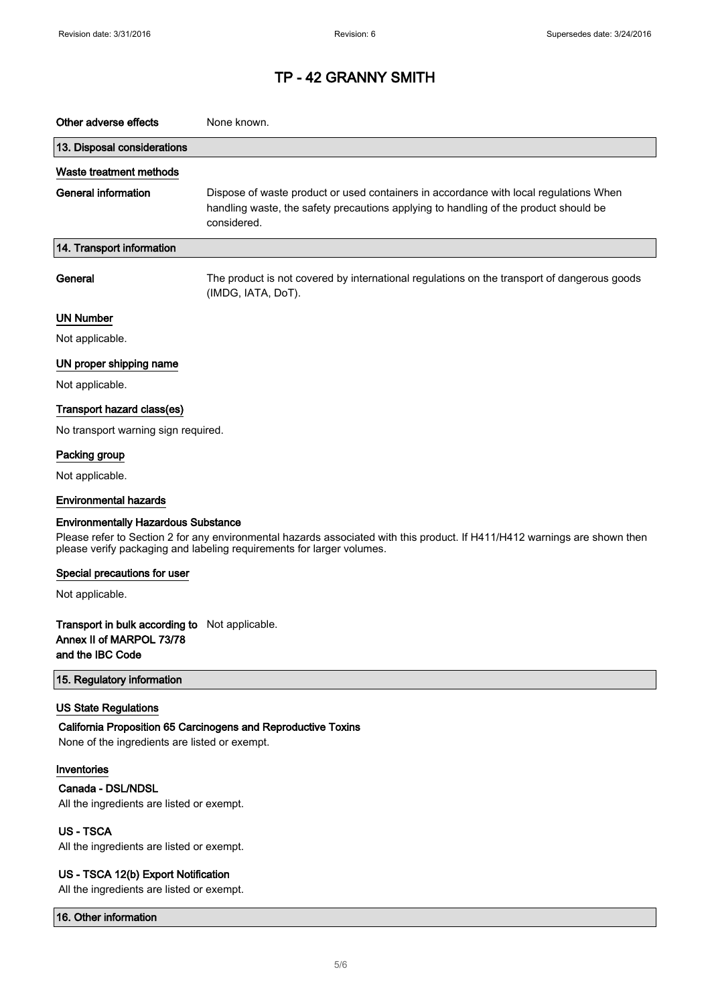| Other adverse effects                                                                                                                                                                                                                             | None known.                                                                                                                                                                                  |  |
|---------------------------------------------------------------------------------------------------------------------------------------------------------------------------------------------------------------------------------------------------|----------------------------------------------------------------------------------------------------------------------------------------------------------------------------------------------|--|
| 13. Disposal considerations                                                                                                                                                                                                                       |                                                                                                                                                                                              |  |
| Waste treatment methods                                                                                                                                                                                                                           |                                                                                                                                                                                              |  |
| <b>General information</b>                                                                                                                                                                                                                        | Dispose of waste product or used containers in accordance with local regulations When<br>handling waste, the safety precautions applying to handling of the product should be<br>considered. |  |
| 14. Transport information                                                                                                                                                                                                                         |                                                                                                                                                                                              |  |
| General                                                                                                                                                                                                                                           | The product is not covered by international regulations on the transport of dangerous goods<br>(IMDG, IATA, DoT).                                                                            |  |
| <b>UN Number</b>                                                                                                                                                                                                                                  |                                                                                                                                                                                              |  |
| Not applicable.                                                                                                                                                                                                                                   |                                                                                                                                                                                              |  |
| UN proper shipping name                                                                                                                                                                                                                           |                                                                                                                                                                                              |  |
| Not applicable.                                                                                                                                                                                                                                   |                                                                                                                                                                                              |  |
| Transport hazard class(es)                                                                                                                                                                                                                        |                                                                                                                                                                                              |  |
| No transport warning sign required.                                                                                                                                                                                                               |                                                                                                                                                                                              |  |
| Packing group                                                                                                                                                                                                                                     |                                                                                                                                                                                              |  |
| Not applicable.                                                                                                                                                                                                                                   |                                                                                                                                                                                              |  |
| <b>Environmental hazards</b>                                                                                                                                                                                                                      |                                                                                                                                                                                              |  |
| <b>Environmentally Hazardous Substance</b><br>Please refer to Section 2 for any environmental hazards associated with this product. If H411/H412 warnings are shown then<br>please verify packaging and labeling requirements for larger volumes. |                                                                                                                                                                                              |  |
| Special precautions for user                                                                                                                                                                                                                      |                                                                                                                                                                                              |  |
| Not applicable.                                                                                                                                                                                                                                   |                                                                                                                                                                                              |  |
| Transport in bulk according to Not applicable.<br>Annex II of MARPOL 73/78<br>and the IBC Code                                                                                                                                                    |                                                                                                                                                                                              |  |
| 15. Regulatory information                                                                                                                                                                                                                        |                                                                                                                                                                                              |  |
| <b>US State Regulations</b><br>None of the ingredients are listed or exempt.                                                                                                                                                                      | California Proposition 65 Carcinogens and Reproductive Toxins                                                                                                                                |  |
| Inventories<br>Canada - DSL/NDSL<br>All the ingredients are listed or exempt.                                                                                                                                                                     |                                                                                                                                                                                              |  |
| <b>US-TSCA</b><br>All the ingredients are listed or exempt.                                                                                                                                                                                       |                                                                                                                                                                                              |  |
| US - TSCA 12(b) Export Notification                                                                                                                                                                                                               |                                                                                                                                                                                              |  |

All the ingredients are listed or exempt.

16. Other information